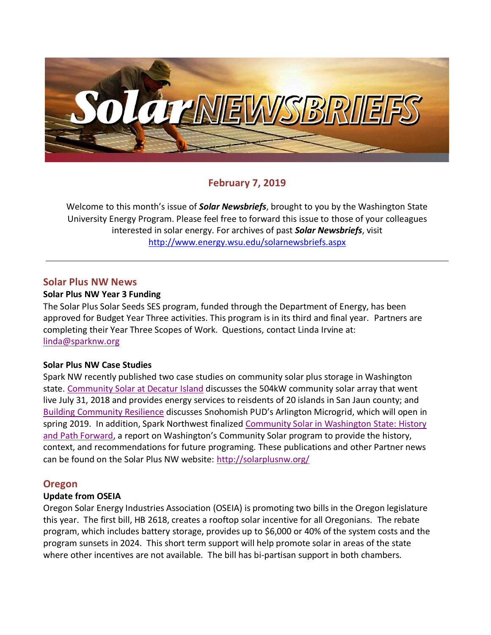

# **February 7, 2019**

Welcome to this month's issue of *Solar Newsbriefs*, brought to you by the Washington State University Energy Program. Please feel free to forward this issue to those of your colleagues interested in solar energy. For archives of past *Solar Newsbriefs*, visit <http://www.energy.wsu.edu/solarnewsbriefs.aspx>

#### **Solar Plus NW News**

#### **Solar Plus NW Year 3 Funding**

The Solar Plus Solar Seeds SES program, funded through the Department of Energy, has been approved for Budget Year Three activities. This program is in its third and final year. Partners are completing their Year Three Scopes of Work. Questions, contact Linda Irvine at: [linda@sparknw.org](mailto:linda@sparknw.org)

#### **Solar Plus NW Case Studies**

Spark NW recently published two case studies on community solar plus storage in Washington state. [Community Solar at Decatur Island](http://solarplusnw.org/wp-content/uploads/Solar-Plus-Case-Studies-Final-_OPALCO.pdf) discusses the 504kW community solar array that went live July 31, 2018 and provides energy services to reisdents of 20 islands in San Jaun county; and [Building Community Resilience](http://solarplusnw.org/wp-content/uploads/Solar-Plus-Case-Studies-Final-_SnoPUD-1.pdf) discusses Snohomish PUD's Arlington Microgrid, which will open in spring 2019. In addition, Spark Northwest finalized [Community Solar in Washington State: History](http://solarplusnw.org/wp-content/uploads/Washington-Community-Solar-Implementation-and-Challenges-Final-003.pdf)  [and Path Forward](http://solarplusnw.org/wp-content/uploads/Washington-Community-Solar-Implementation-and-Challenges-Final-003.pdf), a report on Washington's Community Solar program to provide the history, context, and recommendations for future programing. These publications and other Partner news can be found on the Solar Plus NW website:<http://solarplusnw.org/>

### **Oregon**

### **Update from OSEIA**

Oregon Solar Energy Industries Association (OSEIA) is promoting two bills in the Oregon legislature this year. The first bill, HB 2618, creates a rooftop solar incentive for all Oregonians. The rebate program, which includes battery storage, provides up to \$6,000 or 40% of the system costs and the program sunsets in 2024. This short term support will help promote solar in areas of the state where other incentives are not available. The bill has bi-partisan support in both chambers.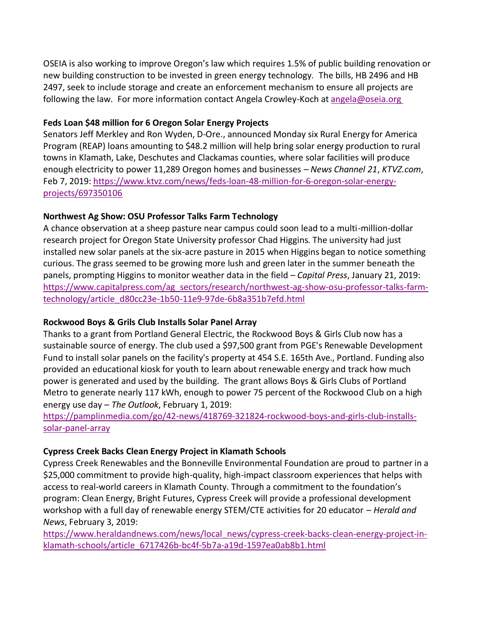OSEIA is also working to improve Oregon's law which requires 1.5% of public building renovation or new building construction to be invested in green energy technology. The bills, HB 2496 and HB 2497, seek to include storage and create an enforcement mechanism to ensure all projects are following the law. For more information contact Angela Crowley-Koch a[t angela@oseia.org](mailto:angela@oseia.org ) 

## **Feds Loan \$48 million for 6 Oregon Solar Energy Projects**

Senators Jeff Merkley and Ron Wyden, D-Ore., announced Monday six Rural Energy for America Program (REAP) loans amounting to \$48.2 million will help bring solar energy production to rural towns in Klamath, Lake, Deschutes and Clackamas counties, where solar facilities will produce enough electricity to power 11,289 Oregon homes and businesses – *News Channel 21*, *KTVZ.com*, Feb 7, 2019: [https://www.ktvz.com/news/feds-loan-48-million-for-6-oregon-solar-energy](https://www.ktvz.com/news/feds-loan-48-million-for-6-oregon-solar-energy-projects/697350106)[projects/697350106](https://www.ktvz.com/news/feds-loan-48-million-for-6-oregon-solar-energy-projects/697350106)

# **Northwest Ag Show: OSU Professor Talks Farm Technology**

A chance observation at a sheep pasture near campus could soon lead to a multi-million-dollar research project for Oregon State University professor Chad Higgins. The university had just installed new solar panels at the six-acre pasture in 2015 when Higgins began to notice something curious. The grass seemed to be growing more lush and green later in the summer beneath the panels, prompting Higgins to monitor weather data in the field – *Capital Press*, January 21, 2019: [https://www.capitalpress.com/ag\\_sectors/research/northwest-ag-show-osu-professor-talks-farm](https://www.capitalpress.com/ag_sectors/research/northwest-ag-show-osu-professor-talks-farm-technology/article_d80cc23e-1b50-11e9-97de-6b8a351b7efd.html)[technology/article\\_d80cc23e-1b50-11e9-97de-6b8a351b7efd.html](https://www.capitalpress.com/ag_sectors/research/northwest-ag-show-osu-professor-talks-farm-technology/article_d80cc23e-1b50-11e9-97de-6b8a351b7efd.html) 

# **Rockwood Boys & Grils Club Installs Solar Panel Array**

Thanks to a grant from Portland General Electric, the Rockwood Boys & Girls Club now has a sustainable source of energy. The club used a \$97,500 grant from PGE's Renewable Development Fund to install solar panels on the facility's property at 454 S.E. 165th Ave., Portland. Funding also provided an educational kiosk for youth to learn about renewable energy and track how much power is generated and used by the building. The grant allows Boys & Girls Clubs of Portland Metro to generate nearly 117 kWh, enough to power 75 percent of the Rockwood Club on a high energy use day – *The Outlook*, February 1, 2019:

[https://pamplinmedia.com/go/42-news/418769-321824-rockwood-boys-and-girls-club-installs](https://pamplinmedia.com/go/42-news/418769-321824-rockwood-boys-and-girls-club-installs-solar-panel-array)[solar-panel-array](https://pamplinmedia.com/go/42-news/418769-321824-rockwood-boys-and-girls-club-installs-solar-panel-array)

# **Cypress Creek Backs Clean Energy Project in Klamath Schools**

Cypress Creek Renewables and the Bonneville Environmental Foundation are proud to partner in a \$25,000 commitment to provide high-quality, high-impact classroom experiences that helps with access to real-world careers in Klamath County. Through a commitment to the foundation's program: Clean Energy, Bright Futures, Cypress Creek will provide a professional development workshop with a full day of renewable energy STEM/CTE activities for 20 educator – *Herald and News*, February 3, 2019:

[https://www.heraldandnews.com/news/local\\_news/cypress-creek-backs-clean-energy-project-in](https://www.heraldandnews.com/news/local_news/cypress-creek-backs-clean-energy-project-in-klamath-schools/article_6717426b-bc4f-5b7a-a19d-1597ea0ab8b1.html)[klamath-schools/article\\_6717426b-bc4f-5b7a-a19d-1597ea0ab8b1.html](https://www.heraldandnews.com/news/local_news/cypress-creek-backs-clean-energy-project-in-klamath-schools/article_6717426b-bc4f-5b7a-a19d-1597ea0ab8b1.html)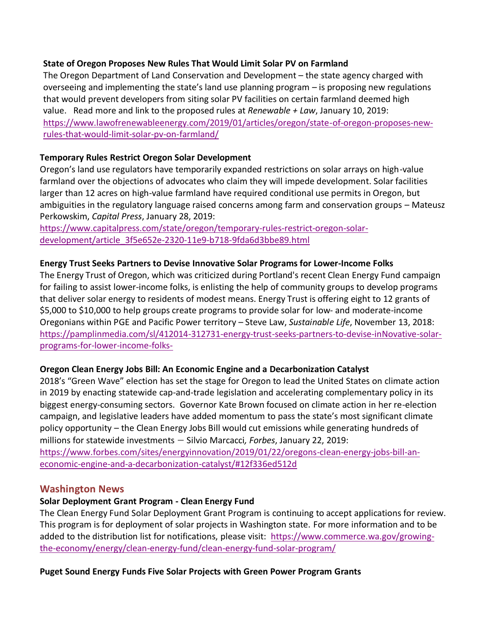#### **State of Oregon Proposes New Rules That Would Limit Solar PV on Farmland**

The Oregon Department of Land Conservation and Development – the state agency charged with overseeing and implementing the state's land use planning program – is proposing new regulations that would prevent developers from siting solar PV facilities on certain farmland deemed high value. Read more and link to the proposed rules at *Renewable + Law*, January 10, 2019: [https://www.lawofrenewableenergy.com/2019/01/articles/oregon/state-of-oregon-proposes-new](https://www.lawofrenewableenergy.com/2019/01/articles/oregon/state-of-oregon-proposes-new-rules-that-would-limit-solar-pv-on-farmland/)[rules-that-would-limit-solar-pv-on-farmland/](https://www.lawofrenewableenergy.com/2019/01/articles/oregon/state-of-oregon-proposes-new-rules-that-would-limit-solar-pv-on-farmland/)

### **Temporary Rules Restrict Oregon Solar Development**

Oregon's land use regulators have temporarily expanded restrictions on solar arrays on high-value farmland over the objections of advocates who claim they will impede development. Solar facilities larger than 12 acres on high-value farmland have required conditional use permits in Oregon, but ambiguities in the regulatory language raised concerns among farm and conservation groups – Mateusz Perkowskim, *Capital Press*, January 28, 2019:

[https://www.capitalpress.com/state/oregon/temporary-rules-restrict-oregon-solar](https://www.capitalpress.com/state/oregon/temporary-rules-restrict-oregon-solar-development/article_3f5e652e-2320-11e9-b718-9fda6d3bbe89.html)[development/article\\_3f5e652e-2320-11e9-b718-9fda6d3bbe89.html](https://www.capitalpress.com/state/oregon/temporary-rules-restrict-oregon-solar-development/article_3f5e652e-2320-11e9-b718-9fda6d3bbe89.html)

#### **Energy Trust Seeks Partners to Devise Innovative Solar Programs for Lower-Income Folks**

The Energy Trust of Oregon, which was criticized during Portland's recent Clean Energy Fund campaign for failing to assist lower-income folks, is enlisting the help of community groups to develop programs that deliver solar energy to residents of modest means. Energy Trust is offering eight to 12 grants of \$5,000 to \$10,000 to help groups create programs to provide solar for low- and moderate-income Oregonians within PGE and Pacific Power territory – Steve Law, *Sustainable Life*, November 13, 2018: [https://pamplinmedia.com/sl/412014-312731-energy-trust-seeks-partners-to-devise-inNovative-solar](https://pamplinmedia.com/sl/412014-312731-energy-trust-seeks-partners-to-devise-innovative-solar-programs-for-lower-income-folks-)[programs-for-lower-income-folks-](https://pamplinmedia.com/sl/412014-312731-energy-trust-seeks-partners-to-devise-innovative-solar-programs-for-lower-income-folks-)

### **Oregon Clean Energy Jobs Bill: An Economic Engine and a Decarbonization Catalyst**

2018's ["Green Wave" election](https://www.statesmanjournal.com/story/opinion/2019/01/03/oregon-riding-green-wave-climate-action/2464678002/) has set the stage for Oregon to lead the United States on climate action in 2019 by enacting statewide cap-and-trade legislation and accelerating complementary policy in its biggest energy-consuming sectors. Governor Kate Brown focused on climate action in her re-election campaign, and legislative leaders have added momentum to pass the state's most significant climate policy opportunity – [the Clean Energy Jobs Bill would cut emissions while generating hundreds of](https://twitter.com/intent/tweet?url=http%3A%2F%2Fwww.forbes.com%2Fsites%2Fenergyinnovation%2F2019%2F01%2F22%2Foregons-clean-energy-jobs-bill-an-economic-engine-and-a-decarbonization-catalyst%2F&text=Clean%20Energy%20Jobs%20Bill%20would%20cut%20emissions%2080%25%2C%20generate%20hundreds%20of%20millions%20in%20statewide%20investments%20%40EnergyInnovLLC)  [millions for statewide investments](https://twitter.com/intent/tweet?url=http%3A%2F%2Fwww.forbes.com%2Fsites%2Fenergyinnovation%2F2019%2F01%2F22%2Foregons-clean-energy-jobs-bill-an-economic-engine-and-a-decarbonization-catalyst%2F&text=Clean%20Energy%20Jobs%20Bill%20would%20cut%20emissions%2080%25%2C%20generate%20hundreds%20of%20millions%20in%20statewide%20investments%20%40EnergyInnovLLC) – Silvio Marcacci*, Forbes*, January 22, 2019: [https://www.forbes.com/sites/energyinnovation/2019/01/22/oregons-clean-energy-jobs-bill-an-](https://www.forbes.com/sites/energyinnovation/2019/01/22/oregons-clean-energy-jobs-bill-an-economic-engine-and-a-decarbonization-catalyst/#12f336ed512d)

### [economic-engine-and-a-decarbonization-catalyst/#12f336ed512d](https://www.forbes.com/sites/energyinnovation/2019/01/22/oregons-clean-energy-jobs-bill-an-economic-engine-and-a-decarbonization-catalyst/#12f336ed512d)

### **Washington News**

### **Solar Deployment Grant Program - Clean Energy Fund**

The Clean Energy Fund Solar Deployment Grant Program is continuing to accept applications for review. This program is for deployment of solar projects in Washington state. For more information and to be added to the distribution list for notifications, please visit: [https://www.commerce.wa.gov/growing](https://www.commerce.wa.gov/growing-the-economy/energy/clean-energy-fund/clean-energy-fund-solar-program/)[the-economy/energy/clean-energy-fund/clean-energy-fund-solar-program/](https://www.commerce.wa.gov/growing-the-economy/energy/clean-energy-fund/clean-energy-fund-solar-program/)

### **Puget Sound Energy Funds Five Solar Projects with Green Power Program Grants**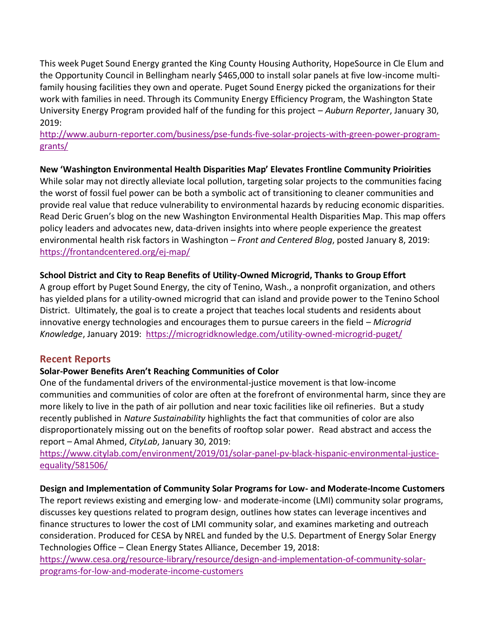This week Puget Sound Energy granted the King County Housing Authority, HopeSource in Cle Elum and the Opportunity Council in Bellingham nearly \$465,000 to install solar panels at five low-income multifamily housing facilities they own and operate. Puget Sound Energy picked the organizations for their work with families in need. Through its Community Energy Efficiency Program, the Washington State University Energy Program provided half of the funding for this project – *Auburn Reporter*, January 30, 2019:

[http://www.auburn-reporter.com/business/pse-funds-five-solar-projects-with-green-power-program](http://www.auburn-reporter.com/business/pse-funds-five-solar-projects-with-green-power-program-grants/)[grants/](http://www.auburn-reporter.com/business/pse-funds-five-solar-projects-with-green-power-program-grants/) 

## **New 'Washington Environmental Health Disparities Map' Elevates Frontline Community Prioirities**

While solar may not directly alleviate local pollution, targeting solar projects to the communities facing the worst of fossil fuel power can be both a symbolic act of transitioning to cleaner communities and provide real value that reduce vulnerability to environmental hazards by reducing economic disparities. Read Deric Gruen's blog on the new Washington Environmental Health Disparities Map. This map offers policy leaders and advocates new, data-driven insights into where people experience the greatest environmental health risk factors in Washington – *Front and Centered Blog*, posted January 8, 2019: <https://frontandcentered.org/ej-map/>

## **School District and City to Reap Benefits of Utility-Owned Microgrid, Thanks to Group Effort**

A group effort by Puget Sound Energy, the city of Tenino, Wash., a nonprofit organization, and others has yielded plans for a utility-owned microgrid that can island and provide power to the Tenino School District. Ultimately, the goal is to create a project that teaches local students and residents about innovative energy technologies and encourages them to pursue careers in the field – *Microgrid Knowledge*, January 2019: <https://microgridknowledge.com/utility-owned-microgrid-puget/>

# **Recent Reports**

### **Solar-Power Benefits Aren't Reaching Communities of Color**

One of the fundamental drivers of the environmental-justice movement is that low-income communities and communities of color are often at the forefront of environmental harm, since they are more likely to live in the path of [air pollution](https://www.citylab.com/environment/2018/04/why-chicagos-mexican-immigrants-are-fighting-air-pollution/557432/) and nea[r toxic facilities like oil refineries.](https://www.citylab.com/environment/2017/11/black-communities-are-75-percent-more-likely-to-live-near-toxic-facilities/546008/) But [a study](https://www.nature.com/articles/s41893-018-0204-z) recently published in *Nature Sustainability* highlights the fact that communities of color are also disproportionately missing out on the benefits of rooftop solar power. Read abstract and access the report – Amal Ahmed, *CityLab*, January 30, 2019:

[https://www.citylab.com/environment/2019/01/solar-panel-pv-black-hispanic-environmental-justice](https://www.citylab.com/environment/2019/01/solar-panel-pv-black-hispanic-environmental-justice-equality/581506/)[equality/581506/](https://www.citylab.com/environment/2019/01/solar-panel-pv-black-hispanic-environmental-justice-equality/581506/) 

#### **Design and Implementation of Community Solar Programs for Low- and Moderate-Income Customers**

The report reviews existing and emerging low- and moderate-income (LMI) community solar programs, discusses key questions related to program design, outlines how states can leverage incentives and finance structures to lower the cost of LMI community solar, and examines marketing and outreach consideration. Produced for CESA by NREL and funded by the U.S. Department of Energy Solar Energy Technologies Office – Clean Energy States Alliance, December 19, 2018:

[https://www.cesa.org/resource-library/resource/design-and-implementation-of-community-solar](https://www.cesa.org/resource-library/resource/design-and-implementation-of-community-solar-programs-for-low-and-moderate-income-customers)[programs-for-low-and-moderate-income-customers](https://www.cesa.org/resource-library/resource/design-and-implementation-of-community-solar-programs-for-low-and-moderate-income-customers)